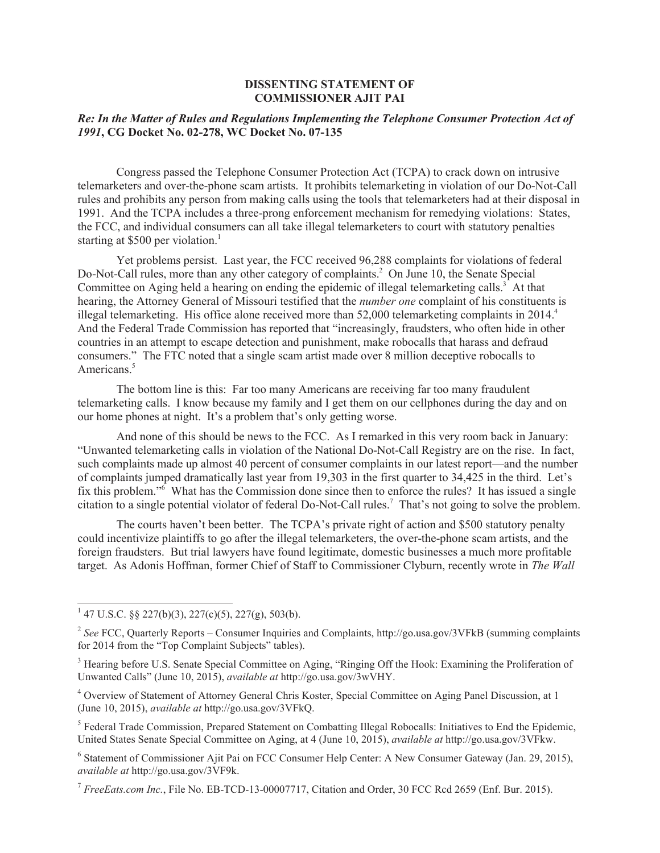## **DISSENTING STATEMENT OF COMMISSIONER AJIT PAI**

## *Re: In the Matter of Rules and Regulations Implementing the Telephone Consumer Protection Act of 1991***, CG Docket No. 02-278, WC Docket No. 07-135**

Congress passed the Telephone Consumer Protection Act (TCPA) to crack down on intrusive telemarketers and over-the-phone scam artists. It prohibits telemarketing in violation of our Do-Not-Call rules and prohibits any person from making calls using the tools that telemarketers had at their disposal in 1991. And the TCPA includes a three-prong enforcement mechanism for remedying violations: States, the FCC, and individual consumers can all take illegal telemarketers to court with statutory penalties starting at \$500 per violation.<sup>1</sup>

Yet problems persist. Last year, the FCC received 96,288 complaints for violations of federal Do-Not-Call rules, more than any other category of complaints.<sup>2</sup> On June 10, the Senate Special Committee on Aging held a hearing on ending the epidemic of illegal telemarketing calls.<sup>3</sup> At that hearing, the Attorney General of Missouri testified that the *number one* complaint of his constituents is illegal telemarketing. His office alone received more than 52,000 telemarketing complaints in 2014.<sup>4</sup> And the Federal Trade Commission has reported that "increasingly, fraudsters, who often hide in other countries in an attempt to escape detection and punishment, make robocalls that harass and defraud consumers." The FTC noted that a single scam artist made over 8 million deceptive robocalls to Americans.<sup>5</sup>

The bottom line is this: Far too many Americans are receiving far too many fraudulent telemarketing calls. I know because my family and I get them on our cellphones during the day and on our home phones at night. It's a problem that's only getting worse.

And none of this should be news to the FCC. As I remarked in this very room back in January: "Unwanted telemarketing calls in violation of the National Do-Not-Call Registry are on the rise. In fact, such complaints made up almost 40 percent of consumer complaints in our latest report—and the number of complaints jumped dramatically last year from 19,303 in the first quarter to 34,425 in the third. Let's fix this problem."<sup>6</sup> What has the Commission done since then to enforce the rules? It has issued a single citation to a single potential violator of federal Do-Not-Call rules.<sup>7</sup> That's not going to solve the problem.

The courts haven't been better. The TCPA's private right of action and \$500 statutory penalty could incentivize plaintiffs to go after the illegal telemarketers, the over-the-phone scam artists, and the foreign fraudsters. But trial lawyers have found legitimate, domestic businesses a much more profitable target. As Adonis Hoffman, former Chief of Staff to Commissioner Clyburn, recently wrote in *The Wall* 

 $147$  U.S.C. §§ 227(b)(3), 227(c)(5), 227(g), 503(b).

<sup>&</sup>lt;sup>2</sup> See FCC, Quarterly Reports – Consumer Inquiries and Complaints, http://go.usa.gov/3VFkB (summing complaints for 2014 from the "Top Complaint Subjects" tables).

<sup>&</sup>lt;sup>3</sup> Hearing before U.S. Senate Special Committee on Aging, "Ringing Off the Hook: Examining the Proliferation of Unwanted Calls" (June 10, 2015), *available at* http://go.usa.gov/3wVHY.

<sup>4</sup> Overview of Statement of Attorney General Chris Koster, Special Committee on Aging Panel Discussion, at 1 (June 10, 2015), *available at* http://go.usa.gov/3VFkQ.

<sup>&</sup>lt;sup>5</sup> Federal Trade Commission, Prepared Statement on Combatting Illegal Robocalls: Initiatives to End the Epidemic, United States Senate Special Committee on Aging, at 4 (June 10, 2015), *available at* http://go.usa.gov/3VFkw.

<sup>&</sup>lt;sup>6</sup> Statement of Commissioner Ajit Pai on FCC Consumer Help Center: A New Consumer Gateway (Jan. 29, 2015), *available at* http://go.usa.gov/3VF9k.

<sup>7</sup> *FreeEats.com Inc.*, File No. EB-TCD-13-00007717, Citation and Order, 30 FCC Rcd 2659 (Enf. Bur. 2015).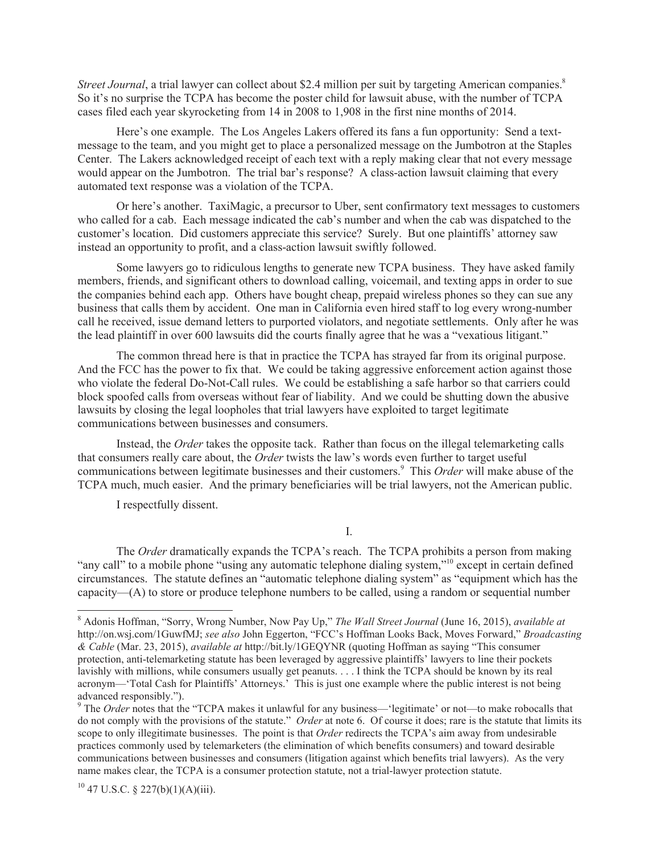*Street Journal*, a trial lawyer can collect about \$2.4 million per suit by targeting American companies.<sup>8</sup> So it's no surprise the TCPA has become the poster child for lawsuit abuse, with the number of TCPA cases filed each year skyrocketing from 14 in 2008 to 1,908 in the first nine months of 2014.

Here's one example. The Los Angeles Lakers offered its fans a fun opportunity: Send a textmessage to the team, and you might get to place a personalized message on the Jumbotron at the Staples Center. The Lakers acknowledged receipt of each text with a reply making clear that not every message would appear on the Jumbotron. The trial bar's response? A class-action lawsuit claiming that every automated text response was a violation of the TCPA.

Or here's another. TaxiMagic, a precursor to Uber, sent confirmatory text messages to customers who called for a cab. Each message indicated the cab's number and when the cab was dispatched to the customer's location. Did customers appreciate this service? Surely. But one plaintiffs' attorney saw instead an opportunity to profit, and a class-action lawsuit swiftly followed.

Some lawyers go to ridiculous lengths to generate new TCPA business. They have asked family members, friends, and significant others to download calling, voicemail, and texting apps in order to sue the companies behind each app. Others have bought cheap, prepaid wireless phones so they can sue any business that calls them by accident. One man in California even hired staff to log every wrong-number call he received, issue demand letters to purported violators, and negotiate settlements. Only after he was the lead plaintiff in over 600 lawsuits did the courts finally agree that he was a "vexatious litigant."

The common thread here is that in practice the TCPA has strayed far from its original purpose. And the FCC has the power to fix that. We could be taking aggressive enforcement action against those who violate the federal Do-Not-Call rules. We could be establishing a safe harbor so that carriers could block spoofed calls from overseas without fear of liability. And we could be shutting down the abusive lawsuits by closing the legal loopholes that trial lawyers have exploited to target legitimate communications between businesses and consumers.

Instead, the *Order* takes the opposite tack. Rather than focus on the illegal telemarketing calls that consumers really care about, the *Order* twists the law's words even further to target useful communications between legitimate businesses and their customers.<sup>9</sup> This *Order* will make abuse of the TCPA much, much easier. And the primary beneficiaries will be trial lawyers, not the American public.

I respectfully dissent.

I.

The *Order* dramatically expands the TCPA's reach. The TCPA prohibits a person from making "any call" to a mobile phone "using any automatic telephone dialing system,"<sup>10</sup> except in certain defined circumstances. The statute defines an "automatic telephone dialing system" as "equipment which has the capacity—(A) to store or produce telephone numbers to be called, using a random or sequential number

<sup>8</sup> Adonis Hoffman, "Sorry, Wrong Number, Now Pay Up," *The Wall Street Journal* (June 16, 2015), *available at* http://on.wsj.com/1GuwfMJ; *see also* John Eggerton, "FCC's Hoffman Looks Back, Moves Forward," *Broadcasting & Cable* (Mar. 23, 2015), *available at* http://bit.ly/1GEQYNR (quoting Hoffman as saying "This consumer protection, anti-telemarketing statute has been leveraged by aggressive plaintiffs' lawyers to line their pockets lavishly with millions, while consumers usually get peanuts. . . . I think the TCPA should be known by its real acronym—'Total Cash for Plaintiffs' Attorneys.' This is just one example where the public interest is not being advanced responsibly.").

<sup>&</sup>lt;sup>9</sup> The *Order* notes that the "TCPA makes it unlawful for any business—'legitimate' or not—to make robocalls that do not comply with the provisions of the statute." *Order* at note 6. Of course it does; rare is the statute that limits its scope to only illegitimate businesses. The point is that *Order* redirects the TCPA's aim away from undesirable practices commonly used by telemarketers (the elimination of which benefits consumers) and toward desirable communications between businesses and consumers (litigation against which benefits trial lawyers). As the very name makes clear, the TCPA is a consumer protection statute, not a trial-lawyer protection statute.

 $10$  47 U.S.C. § 227(b)(1)(A)(iii).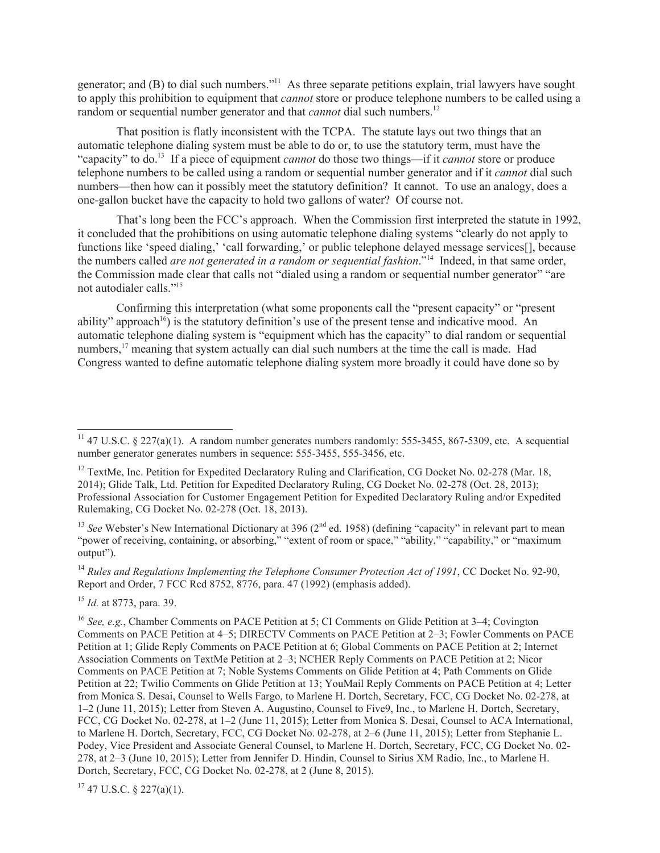generator; and (B) to dial such numbers."<sup>11</sup> As three separate petitions explain, trial lawyers have sought to apply this prohibition to equipment that *cannot* store or produce telephone numbers to be called using a random or sequential number generator and that *cannot* dial such numbers.<sup>12</sup>

That position is flatly inconsistent with the TCPA. The statute lays out two things that an automatic telephone dialing system must be able to do or, to use the statutory term, must have the "capacity" to do.<sup>13</sup> If a piece of equipment *cannot* do those two things—if it *cannot* store or produce telephone numbers to be called using a random or sequential number generator and if it *cannot* dial such numbers—then how can it possibly meet the statutory definition? It cannot. To use an analogy, does a one-gallon bucket have the capacity to hold two gallons of water? Of course not.

That's long been the FCC's approach. When the Commission first interpreted the statute in 1992, it concluded that the prohibitions on using automatic telephone dialing systems "clearly do not apply to functions like 'speed dialing,' 'call forwarding,' or public telephone delayed message services[], because the numbers called *are not generated in a random or sequential fashion*."<sup>14</sup> Indeed, in that same order, the Commission made clear that calls not "dialed using a random or sequential number generator" "are not autodialer calls."<sup>15</sup>

Confirming this interpretation (what some proponents call the "present capacity" or "present ability" approach<sup>16</sup>) is the statutory definition's use of the present tense and indicative mood. An automatic telephone dialing system is "equipment which has the capacity" to dial random or sequential numbers,<sup>17</sup> meaning that system actually can dial such numbers at the time the call is made. Had Congress wanted to define automatic telephone dialing system more broadly it could have done so by

<sup>13</sup> *See* Webster's New International Dictionary at 396 (2<sup>nd</sup> ed. 1958) (defining "capacity" in relevant part to mean "power of receiving, containing, or absorbing," "extent of room or space," "ability," "capability," or "maximum output").

<sup>14</sup> Rules and Regulations Implementing the Telephone Consumer Protection Act of 1991, CC Docket No. 92-90, Report and Order, 7 FCC Rcd 8752, 8776, para. 47 (1992) (emphasis added).

<sup>15</sup> *Id.* at 8773, para. 39.

 $17$  47 U.S.C. § 227(a)(1).

<sup>&</sup>lt;sup>11</sup> 47 U.S.C. § 227(a)(1). A random number generates numbers randomly: 555-3455, 867-5309, etc. A sequential number generator generates numbers in sequence: 555-3455, 555-3456, etc.

<sup>&</sup>lt;sup>12</sup> TextMe, Inc. Petition for Expedited Declaratory Ruling and Clarification, CG Docket No. 02-278 (Mar. 18, 2014); Glide Talk, Ltd. Petition for Expedited Declaratory Ruling, CG Docket No. 02-278 (Oct. 28, 2013); Professional Association for Customer Engagement Petition for Expedited Declaratory Ruling and/or Expedited Rulemaking, CG Docket No. 02-278 (Oct. 18, 2013).

<sup>16</sup> *See, e.g.*, Chamber Comments on PACE Petition at 5; CI Comments on Glide Petition at 3–4; Covington Comments on PACE Petition at 4–5; DIRECTV Comments on PACE Petition at 2–3; Fowler Comments on PACE Petition at 1; Glide Reply Comments on PACE Petition at 6; Global Comments on PACE Petition at 2; Internet Association Comments on TextMe Petition at 2–3; NCHER Reply Comments on PACE Petition at 2; Nicor Comments on PACE Petition at 7; Noble Systems Comments on Glide Petition at 4; Path Comments on Glide Petition at 22; Twilio Comments on Glide Petition at 13; YouMail Reply Comments on PACE Petition at 4; Letter from Monica S. Desai, Counsel to Wells Fargo, to Marlene H. Dortch, Secretary, FCC, CG Docket No. 02-278, at 1–2 (June 11, 2015); Letter from Steven A. Augustino, Counsel to Five9, Inc., to Marlene H. Dortch, Secretary, FCC, CG Docket No. 02-278, at 1–2 (June 11, 2015); Letter from Monica S. Desai, Counsel to ACA International, to Marlene H. Dortch, Secretary, FCC, CG Docket No. 02-278, at 2–6 (June 11, 2015); Letter from Stephanie L. Podey, Vice President and Associate General Counsel, to Marlene H. Dortch, Secretary, FCC, CG Docket No. 02- 278, at 2–3 (June 10, 2015); Letter from Jennifer D. Hindin, Counsel to Sirius XM Radio, Inc., to Marlene H. Dortch, Secretary, FCC, CG Docket No. 02-278, at 2 (June 8, 2015).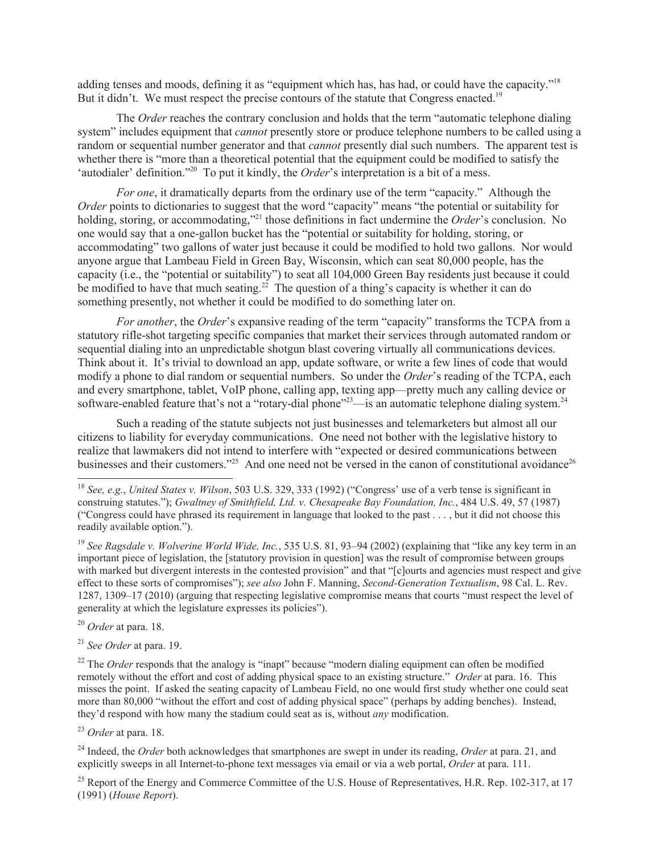adding tenses and moods, defining it as "equipment which has, has had, or could have the capacity."<sup>18</sup> But it didn't. We must respect the precise contours of the statute that Congress enacted.<sup>19</sup>

The *Order* reaches the contrary conclusion and holds that the term "automatic telephone dialing system" includes equipment that *cannot* presently store or produce telephone numbers to be called using a random or sequential number generator and that *cannot* presently dial such numbers. The apparent test is whether there is "more than a theoretical potential that the equipment could be modified to satisfy the 'autodialer' definition."<sup>20</sup> To put it kindly, the *Order*'s interpretation is a bit of a mess.

*For one*, it dramatically departs from the ordinary use of the term "capacity." Although the *Order* points to dictionaries to suggest that the word "capacity" means "the potential or suitability for holding, storing, or accommodating,"<sup>21</sup> those definitions in fact undermine the *Order*'s conclusion. No one would say that a one-gallon bucket has the "potential or suitability for holding, storing, or accommodating" two gallons of water just because it could be modified to hold two gallons. Nor would anyone argue that Lambeau Field in Green Bay, Wisconsin, which can seat 80,000 people, has the capacity (i.e., the "potential or suitability") to seat all 104,000 Green Bay residents just because it could be modified to have that much seating.<sup>22</sup> The question of a thing's capacity is whether it can do something presently, not whether it could be modified to do something later on.

*For another*, the *Order*'s expansive reading of the term "capacity" transforms the TCPA from a statutory rifle-shot targeting specific companies that market their services through automated random or sequential dialing into an unpredictable shotgun blast covering virtually all communications devices. Think about it. It's trivial to download an app, update software, or write a few lines of code that would modify a phone to dial random or sequential numbers. So under the *Order*'s reading of the TCPA, each and every smartphone, tablet, VoIP phone, calling app, texting app—pretty much any calling device or software-enabled feature that's not a "rotary-dial phone"<sup>23</sup>—is an automatic telephone dialing system.<sup>24</sup>

Such a reading of the statute subjects not just businesses and telemarketers but almost all our citizens to liability for everyday communications. One need not bother with the legislative history to realize that lawmakers did not intend to interfere with "expected or desired communications between businesses and their customers."<sup>25</sup> And one need not be versed in the canon of constitutional avoidance<sup>26</sup>

<sup>19</sup> *See Ragsdale v. Wolverine World Wide, Inc.*, 535 U.S. 81, 93–94 (2002) (explaining that "like any key term in an important piece of legislation, the [statutory provision in question] was the result of compromise between groups with marked but divergent interests in the contested provision" and that "[c]ourts and agencies must respect and give effect to these sorts of compromises"); *see also* John F. Manning, *Second-Generation Textualism*, 98 Cal. L. Rev. 1287, 1309–17 (2010) (arguing that respecting legislative compromise means that courts "must respect the level of generality at which the legislature expresses its policies").

<sup>20</sup> *Order* at para. 18.

<sup>21</sup> *See Order* at para. 19.

<sup>22</sup> The *Order* responds that the analogy is "inapt" because "modern dialing equipment can often be modified remotely without the effort and cost of adding physical space to an existing structure." *Order* at para. 16. This misses the point. If asked the seating capacity of Lambeau Field, no one would first study whether one could seat more than 80,000 "without the effort and cost of adding physical space" (perhaps by adding benches). Instead, they'd respond with how many the stadium could seat as is, without *any* modification.

<sup>23</sup> *Order* at para. 18.

<sup>24</sup> Indeed, the *Order* both acknowledges that smartphones are swept in under its reading, *Order* at para. 21, and explicitly sweeps in all Internet-to-phone text messages via email or via a web portal, *Order* at para. 111.

<sup>25</sup> Report of the Energy and Commerce Committee of the U.S. House of Representatives, H.R. Rep. 102-317, at 17 (1991) (*House Report*).

<sup>18</sup> *See, e.g.*, *United States v. Wilson*, 503 U.S. 329, 333 (1992) ("Congress' use of a verb tense is significant in construing statutes."); *Gwaltney of Smithfield, Ltd. v. Chesapeake Bay Foundation, Inc.*, 484 U.S. 49, 57 (1987) ("Congress could have phrased its requirement in language that looked to the past . . . , but it did not choose this readily available option.").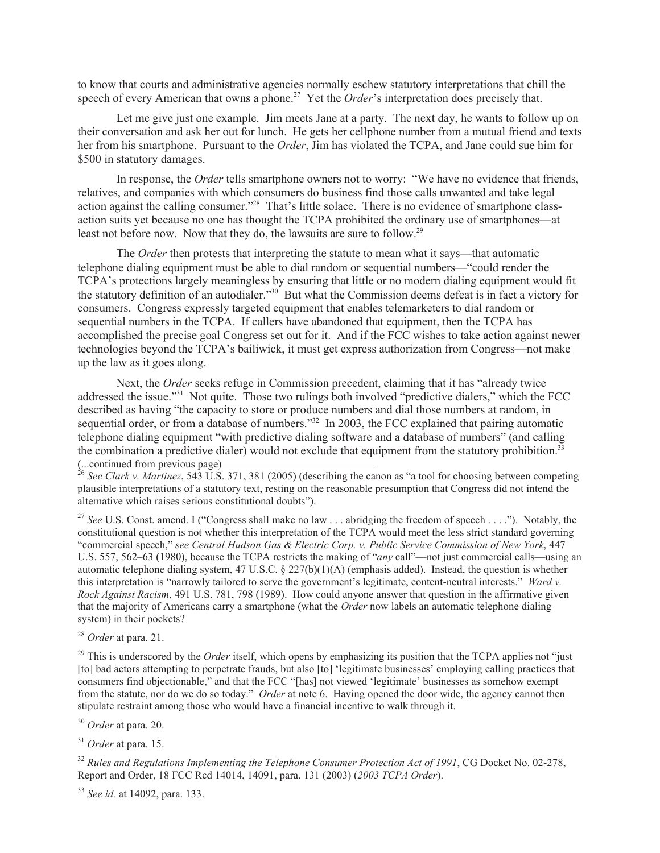to know that courts and administrative agencies normally eschew statutory interpretations that chill the speech of every American that owns a phone.<sup>27</sup> Yet the *Order*'s interpretation does precisely that.

Let me give just one example. Jim meets Jane at a party. The next day, he wants to follow up on their conversation and ask her out for lunch. He gets her cellphone number from a mutual friend and texts her from his smartphone. Pursuant to the *Order*, Jim has violated the TCPA, and Jane could sue him for \$500 in statutory damages.

In response, the *Order* tells smartphone owners not to worry: "We have no evidence that friends, relatives, and companies with which consumers do business find those calls unwanted and take legal action against the calling consumer."<sup>28</sup> That's little solace. There is no evidence of smartphone classaction suits yet because no one has thought the TCPA prohibited the ordinary use of smartphones—at least not before now. Now that they do, the lawsuits are sure to follow.<sup>29</sup>

The *Order* then protests that interpreting the statute to mean what it says—that automatic telephone dialing equipment must be able to dial random or sequential numbers—"could render the TCPA's protections largely meaningless by ensuring that little or no modern dialing equipment would fit the statutory definition of an autodialer."<sup>30</sup> But what the Commission deems defeat is in fact a victory for consumers. Congress expressly targeted equipment that enables telemarketers to dial random or sequential numbers in the TCPA. If callers have abandoned that equipment, then the TCPA has accomplished the precise goal Congress set out for it. And if the FCC wishes to take action against newer technologies beyond the TCPA's bailiwick, it must get express authorization from Congress—not make up the law as it goes along.

Next, the *Order* seeks refuge in Commission precedent, claiming that it has "already twice addressed the issue."<sup>31</sup> Not quite. Those two rulings both involved "predictive dialers," which the FCC described as having "the capacity to store or produce numbers and dial those numbers at random, in sequential order, or from a database of numbers."<sup>32</sup> In 2003, the FCC explained that pairing automatic telephone dialing equipment "with predictive dialing software and a database of numbers" (and calling the combination a predictive dialer) would not exclude that equipment from the statutory prohibition.<sup>33</sup> (...continued from previous page)

<sup>26</sup> *See Clark v. Martinez*, 543 U.S. 371, 381 (2005) (describing the canon as "a tool for choosing between competing plausible interpretations of a statutory text, resting on the reasonable presumption that Congress did not intend the alternative which raises serious constitutional doubts").

<sup>27</sup> See U.S. Const. amend. I ("Congress shall make no law . . . abridging the freedom of speech . . . ."). Notably, the constitutional question is not whether this interpretation of the TCPA would meet the less strict standard governing "commercial speech," *see Central Hudson Gas & Electric Corp. v. Public Service Commission of New York*, 447 U.S. 557, 562–63 (1980), because the TCPA restricts the making of "*any* call"—not just commercial calls—using an automatic telephone dialing system, 47 U.S.C. § 227(b)(1)(A) (emphasis added). Instead, the question is whether this interpretation is "narrowly tailored to serve the government's legitimate, content-neutral interests." *Ward v. Rock Against Racism*, 491 U.S. 781, 798 (1989). How could anyone answer that question in the affirmative given that the majority of Americans carry a smartphone (what the *Order* now labels an automatic telephone dialing system) in their pockets?

<sup>28</sup> *Order* at para. 21.

<sup>29</sup> This is underscored by the *Order* itself, which opens by emphasizing its position that the TCPA applies not "just" [to] bad actors attempting to perpetrate frauds, but also [to] 'legitimate businesses' employing calling practices that consumers find objectionable," and that the FCC "[has] not viewed 'legitimate' businesses as somehow exempt from the statute, nor do we do so today." *Order* at note 6. Having opened the door wide, the agency cannot then stipulate restraint among those who would have a financial incentive to walk through it.

<sup>30</sup> *Order* at para. 20.

<sup>31</sup> *Order* at para. 15.

<sup>32</sup> Rules and Regulations Implementing the Telephone Consumer Protection Act of 1991, CG Docket No. 02-278, Report and Order, 18 FCC Rcd 14014, 14091, para. 131 (2003) (*2003 TCPA Order*).

<sup>33</sup> *See id.* at 14092, para. 133.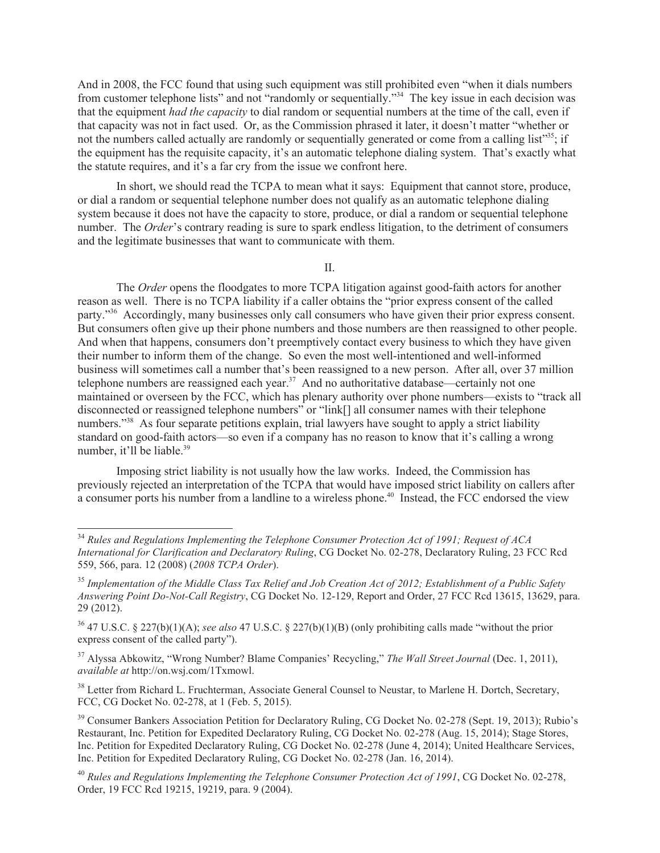And in 2008, the FCC found that using such equipment was still prohibited even "when it dials numbers from customer telephone lists" and not "randomly or sequentially."<sup>34</sup> The key issue in each decision was that the equipment *had the capacity* to dial random or sequential numbers at the time of the call, even if that capacity was not in fact used. Or, as the Commission phrased it later, it doesn't matter "whether or not the numbers called actually are randomly or sequentially generated or come from a calling list $\mathfrak{m}^3$ ; if the equipment has the requisite capacity, it's an automatic telephone dialing system. That's exactly what the statute requires, and it's a far cry from the issue we confront here.

In short, we should read the TCPA to mean what it says: Equipment that cannot store, produce, or dial a random or sequential telephone number does not qualify as an automatic telephone dialing system because it does not have the capacity to store, produce, or dial a random or sequential telephone number. The *Order*'s contrary reading is sure to spark endless litigation, to the detriment of consumers and the legitimate businesses that want to communicate with them.

II.

The *Order* opens the floodgates to more TCPA litigation against good-faith actors for another reason as well. There is no TCPA liability if a caller obtains the "prior express consent of the called party."<sup>36</sup> Accordingly, many businesses only call consumers who have given their prior express consent. But consumers often give up their phone numbers and those numbers are then reassigned to other people. And when that happens, consumers don't preemptively contact every business to which they have given their number to inform them of the change. So even the most well-intentioned and well-informed business will sometimes call a number that's been reassigned to a new person. After all, over 37 million telephone numbers are reassigned each year.<sup>37</sup> And no authoritative database—certainly not one maintained or overseen by the FCC, which has plenary authority over phone numbers—exists to "track all disconnected or reassigned telephone numbers<sup>"</sup> or "link[] all consumer names with their telephone numbers.<sup>338</sup> As four separate petitions explain, trial lawyers have sought to apply a strict liability standard on good-faith actors—so even if a company has no reason to know that it's calling a wrong number, it'll be liable.<sup>39</sup>

Imposing strict liability is not usually how the law works. Indeed, the Commission has previously rejected an interpretation of the TCPA that would have imposed strict liability on callers after a consumer ports his number from a landline to a wireless phone.<sup>40</sup> Instead, the FCC endorsed the view

<sup>34</sup> *Rules and Regulations Implementing the Telephone Consumer Protection Act of 1991; Request of ACA International for Clarification and Declaratory Ruling*, CG Docket No. 02-278, Declaratory Ruling, 23 FCC Rcd 559, 566, para. 12 (2008) (*2008 TCPA Order*).

<sup>35</sup> *Implementation of the Middle Class Tax Relief and Job Creation Act of 2012; Establishment of a Public Safety Answering Point Do-Not-Call Registry*, CG Docket No. 12-129, Report and Order, 27 FCC Rcd 13615, 13629, para. 29 (2012).

<sup>36</sup> 47 U.S.C. § 227(b)(1)(A); *see also* 47 U.S.C. § 227(b)(1)(B) (only prohibiting calls made "without the prior express consent of the called party").

<sup>37</sup> Alyssa Abkowitz, "Wrong Number? Blame Companies' Recycling," *The Wall Street Journal* (Dec. 1, 2011), *available at* http://on.wsj.com/1Txmowl.

<sup>&</sup>lt;sup>38</sup> Letter from Richard L. Fruchterman, Associate General Counsel to Neustar, to Marlene H. Dortch, Secretary, FCC, CG Docket No. 02-278, at 1 (Feb. 5, 2015).

<sup>&</sup>lt;sup>39</sup> Consumer Bankers Association Petition for Declaratory Ruling, CG Docket No. 02-278 (Sept. 19, 2013); Rubio's Restaurant, Inc. Petition for Expedited Declaratory Ruling, CG Docket No. 02-278 (Aug. 15, 2014); Stage Stores, Inc. Petition for Expedited Declaratory Ruling, CG Docket No. 02-278 (June 4, 2014); United Healthcare Services, Inc. Petition for Expedited Declaratory Ruling, CG Docket No. 02-278 (Jan. 16, 2014).

<sup>40</sup> *Rules and Regulations Implementing the Telephone Consumer Protection Act of 1991*, CG Docket No. 02-278, Order, 19 FCC Rcd 19215, 19219, para. 9 (2004).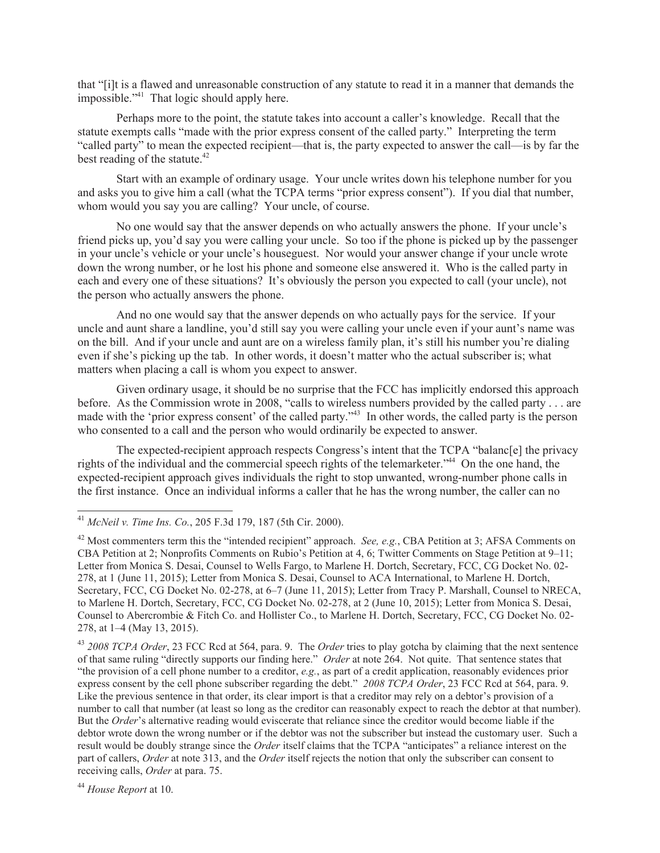that "[i]t is a flawed and unreasonable construction of any statute to read it in a manner that demands the impossible."<sup>41</sup> That logic should apply here.

Perhaps more to the point, the statute takes into account a caller's knowledge. Recall that the statute exempts calls "made with the prior express consent of the called party." Interpreting the term "called party" to mean the expected recipient—that is, the party expected to answer the call—is by far the best reading of the statute.<sup>42</sup>

Start with an example of ordinary usage. Your uncle writes down his telephone number for you and asks you to give him a call (what the TCPA terms "prior express consent"). If you dial that number, whom would you say you are calling? Your uncle, of course.

No one would say that the answer depends on who actually answers the phone. If your uncle's friend picks up, you'd say you were calling your uncle. So too if the phone is picked up by the passenger in your uncle's vehicle or your uncle's houseguest. Nor would your answer change if your uncle wrote down the wrong number, or he lost his phone and someone else answered it. Who is the called party in each and every one of these situations? It's obviously the person you expected to call (your uncle), not the person who actually answers the phone.

And no one would say that the answer depends on who actually pays for the service. If your uncle and aunt share a landline, you'd still say you were calling your uncle even if your aunt's name was on the bill. And if your uncle and aunt are on a wireless family plan, it's still his number you're dialing even if she's picking up the tab. In other words, it doesn't matter who the actual subscriber is; what matters when placing a call is whom you expect to answer.

Given ordinary usage, it should be no surprise that the FCC has implicitly endorsed this approach before. As the Commission wrote in 2008, "calls to wireless numbers provided by the called party . . . are made with the 'prior express consent' of the called party.<sup>243</sup> In other words, the called party is the person who consented to a call and the person who would ordinarily be expected to answer.

The expected-recipient approach respects Congress's intent that the TCPA "balanc[e] the privacy rights of the individual and the commercial speech rights of the telemarketer."<sup>44</sup> On the one hand, the expected-recipient approach gives individuals the right to stop unwanted, wrong-number phone calls in the first instance. Once an individual informs a caller that he has the wrong number, the caller can no

<sup>43</sup> *2008 TCPA Order*, 23 FCC Rcd at 564, para. 9. The *Order* tries to play gotcha by claiming that the next sentence of that same ruling "directly supports our finding here." *Order* at note 264. Not quite. That sentence states that "the provision of a cell phone number to a creditor, *e.g.*, as part of a credit application, reasonably evidences prior express consent by the cell phone subscriber regarding the debt." *2008 TCPA Order*, 23 FCC Rcd at 564, para. 9. Like the previous sentence in that order, its clear import is that a creditor may rely on a debtor's provision of a number to call that number (at least so long as the creditor can reasonably expect to reach the debtor at that number). But the *Order*'s alternative reading would eviscerate that reliance since the creditor would become liable if the debtor wrote down the wrong number or if the debtor was not the subscriber but instead the customary user. Such a result would be doubly strange since the *Order* itself claims that the TCPA "anticipates" a reliance interest on the part of callers, *Order* at note 313, and the *Order* itself rejects the notion that only the subscriber can consent to receiving calls, *Order* at para. 75.

<sup>44</sup> *House Report* at 10.

<sup>41</sup> *McNeil v. Time Ins. Co.*, 205 F.3d 179, 187 (5th Cir. 2000).

<sup>&</sup>lt;sup>42</sup> Most commenters term this the "intended recipient" approach. *See, e.g.*, CBA Petition at 3; AFSA Comments on CBA Petition at 2; Nonprofits Comments on Rubio's Petition at 4, 6; Twitter Comments on Stage Petition at 9–11; Letter from Monica S. Desai, Counsel to Wells Fargo, to Marlene H. Dortch, Secretary, FCC, CG Docket No. 02- 278, at 1 (June 11, 2015); Letter from Monica S. Desai, Counsel to ACA International, to Marlene H. Dortch, Secretary, FCC, CG Docket No. 02-278, at 6–7 (June 11, 2015); Letter from Tracy P. Marshall, Counsel to NRECA, to Marlene H. Dortch, Secretary, FCC, CG Docket No. 02-278, at 2 (June 10, 2015); Letter from Monica S. Desai, Counsel to Abercrombie & Fitch Co. and Hollister Co., to Marlene H. Dortch, Secretary, FCC, CG Docket No. 02- 278, at 1–4 (May 13, 2015).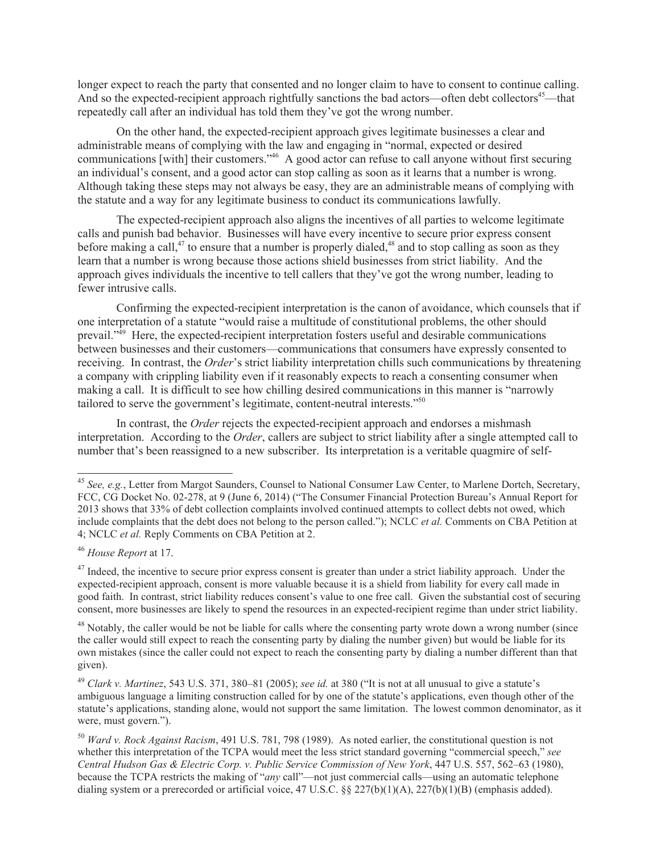longer expect to reach the party that consented and no longer claim to have to consent to continue calling. And so the expected-recipient approach rightfully sanctions the bad actors—often debt collectors<sup>45</sup>—that repeatedly call after an individual has told them they've got the wrong number.

On the other hand, the expected-recipient approach gives legitimate businesses a clear and administrable means of complying with the law and engaging in "normal, expected or desired communications [with] their customers.<sup>246</sup> A good actor can refuse to call anyone without first securing an individual's consent, and a good actor can stop calling as soon as it learns that a number is wrong. Although taking these steps may not always be easy, they are an administrable means of complying with the statute and a way for any legitimate business to conduct its communications lawfully.

The expected-recipient approach also aligns the incentives of all parties to welcome legitimate calls and punish bad behavior. Businesses will have every incentive to secure prior express consent before making a call,<sup>47</sup> to ensure that a number is properly dialed,<sup>48</sup> and to stop calling as soon as they learn that a number is wrong because those actions shield businesses from strict liability. And the approach gives individuals the incentive to tell callers that they've got the wrong number, leading to fewer intrusive calls.

Confirming the expected-recipient interpretation is the canon of avoidance, which counsels that if one interpretation of a statute "would raise a multitude of constitutional problems, the other should prevail.<sup>349</sup> Here, the expected-recipient interpretation fosters useful and desirable communications between businesses and their customers—communications that consumers have expressly consented to receiving. In contrast, the *Order*'s strict liability interpretation chills such communications by threatening a company with crippling liability even if it reasonably expects to reach a consenting consumer when making a call. It is difficult to see how chilling desired communications in this manner is "narrowly tailored to serve the government's legitimate, content-neutral interests."<sup>50</sup>

In contrast, the *Order* rejects the expected-recipient approach and endorses a mishmash interpretation. According to the *Order*, callers are subject to strict liability after a single attempted call to number that's been reassigned to a new subscriber. Its interpretation is a veritable quagmire of self-

<sup>45</sup> *See, e.g.*, Letter from Margot Saunders, Counsel to National Consumer Law Center, to Marlene Dortch, Secretary, FCC, CG Docket No. 02-278, at 9 (June 6, 2014) ("The Consumer Financial Protection Bureau's Annual Report for 2013 shows that 33% of debt collection complaints involved continued attempts to collect debts not owed, which include complaints that the debt does not belong to the person called."); NCLC *et al.* Comments on CBA Petition at 4; NCLC *et al.* Reply Comments on CBA Petition at 2.

<sup>46</sup> *House Report* at 17.

 $47$  Indeed, the incentive to secure prior express consent is greater than under a strict liability approach. Under the expected-recipient approach, consent is more valuable because it is a shield from liability for every call made in good faith. In contrast, strict liability reduces consent's value to one free call. Given the substantial cost of securing consent, more businesses are likely to spend the resources in an expected-recipient regime than under strict liability.

<sup>&</sup>lt;sup>48</sup> Notably, the caller would be not be liable for calls where the consenting party wrote down a wrong number (since the caller would still expect to reach the consenting party by dialing the number given) but would be liable for its own mistakes (since the caller could not expect to reach the consenting party by dialing a number different than that given).

<sup>49</sup> *Clark v. Martinez*, 543 U.S. 371, 380–81 (2005); *see id.* at 380 ("It is not at all unusual to give a statute's ambiguous language a limiting construction called for by one of the statute's applications, even though other of the statute's applications, standing alone, would not support the same limitation. The lowest common denominator, as it were, must govern.").

<sup>50</sup> *Ward v. Rock Against Racism*, 491 U.S. 781, 798 (1989). As noted earlier, the constitutional question is not whether this interpretation of the TCPA would meet the less strict standard governing "commercial speech," *see Central Hudson Gas & Electric Corp. v. Public Service Commission of New York*, 447 U.S. 557, 562–63 (1980), because the TCPA restricts the making of "*any* call"—not just commercial calls—using an automatic telephone dialing system or a prerecorded or artificial voice, 47 U.S.C. §§ 227(b)(1)(A), 227(b)(1)(B) (emphasis added).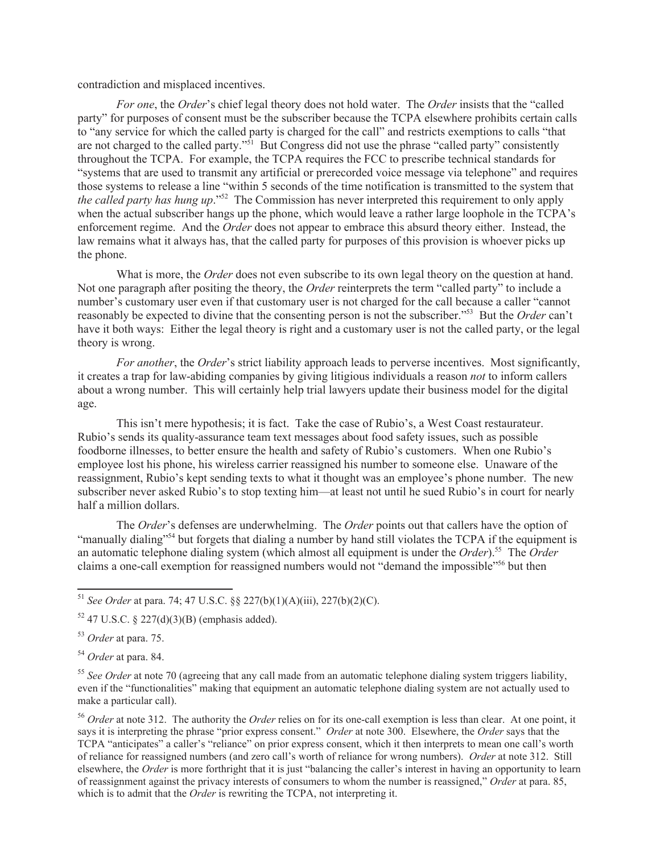contradiction and misplaced incentives.

*For one*, the *Order*'s chief legal theory does not hold water. The *Order* insists that the "called party" for purposes of consent must be the subscriber because the TCPA elsewhere prohibits certain calls to "any service for which the called party is charged for the call" and restricts exemptions to calls "that are not charged to the called party."<sup>51</sup> But Congress did not use the phrase "called party" consistently throughout the TCPA. For example, the TCPA requires the FCC to prescribe technical standards for "systems that are used to transmit any artificial or prerecorded voice message via telephone" and requires those systems to release a line "within 5 seconds of the time notification is transmitted to the system that *the called party has hung up*."<sup>52</sup> The Commission has never interpreted this requirement to only apply when the actual subscriber hangs up the phone, which would leave a rather large loophole in the TCPA's enforcement regime. And the *Order* does not appear to embrace this absurd theory either. Instead, the law remains what it always has, that the called party for purposes of this provision is whoever picks up the phone.

What is more, the *Order* does not even subscribe to its own legal theory on the question at hand. Not one paragraph after positing the theory, the *Order* reinterprets the term "called party" to include a number's customary user even if that customary user is not charged for the call because a caller "cannot reasonably be expected to divine that the consenting person is not the subscriber."<sup>53</sup> But the *Order* can't have it both ways: Either the legal theory is right and a customary user is not the called party, or the legal theory is wrong.

*For another*, the *Order*'s strict liability approach leads to perverse incentives. Most significantly, it creates a trap for law-abiding companies by giving litigious individuals a reason *not* to inform callers about a wrong number. This will certainly help trial lawyers update their business model for the digital age.

This isn't mere hypothesis; it is fact. Take the case of Rubio's, a West Coast restaurateur. Rubio's sends its quality-assurance team text messages about food safety issues, such as possible foodborne illnesses, to better ensure the health and safety of Rubio's customers. When one Rubio's employee lost his phone, his wireless carrier reassigned his number to someone else. Unaware of the reassignment, Rubio's kept sending texts to what it thought was an employee's phone number. The new subscriber never asked Rubio's to stop texting him—at least not until he sued Rubio's in court for nearly half a million dollars.

The *Order*'s defenses are underwhelming. The *Order* points out that callers have the option of "manually dialing"<sup>54</sup> but forgets that dialing a number by hand still violates the TCPA if the equipment is an automatic telephone dialing system (which almost all equipment is under the *Order*).<sup>55</sup> The *Order* claims a one-call exemption for reassigned numbers would not "demand the impossible"<sup>56</sup> but then

<sup>51</sup> *See Order* at para. 74; 47 U.S.C. §§ 227(b)(1)(A)(iii), 227(b)(2)(C).

 $52$  47 U.S.C. § 227(d)(3)(B) (emphasis added).

<sup>53</sup> *Order* at para. 75.

<sup>54</sup> *Order* at para. 84.

<sup>55</sup> *See Order* at note 70 (agreeing that any call made from an automatic telephone dialing system triggers liability, even if the "functionalities" making that equipment an automatic telephone dialing system are not actually used to make a particular call).

<sup>56</sup> *Order* at note 312. The authority the *Order* relies on for its one-call exemption is less than clear. At one point, it says it is interpreting the phrase "prior express consent." *Order* at note 300. Elsewhere, the *Order* says that the TCPA "anticipates" a caller's "reliance" on prior express consent, which it then interprets to mean one call's worth of reliance for reassigned numbers (and zero call's worth of reliance for wrong numbers). *Order* at note 312. Still elsewhere, the *Order* is more forthright that it is just "balancing the caller's interest in having an opportunity to learn of reassignment against the privacy interests of consumers to whom the number is reassigned," *Order* at para. 85, which is to admit that the *Order* is rewriting the TCPA, not interpreting it.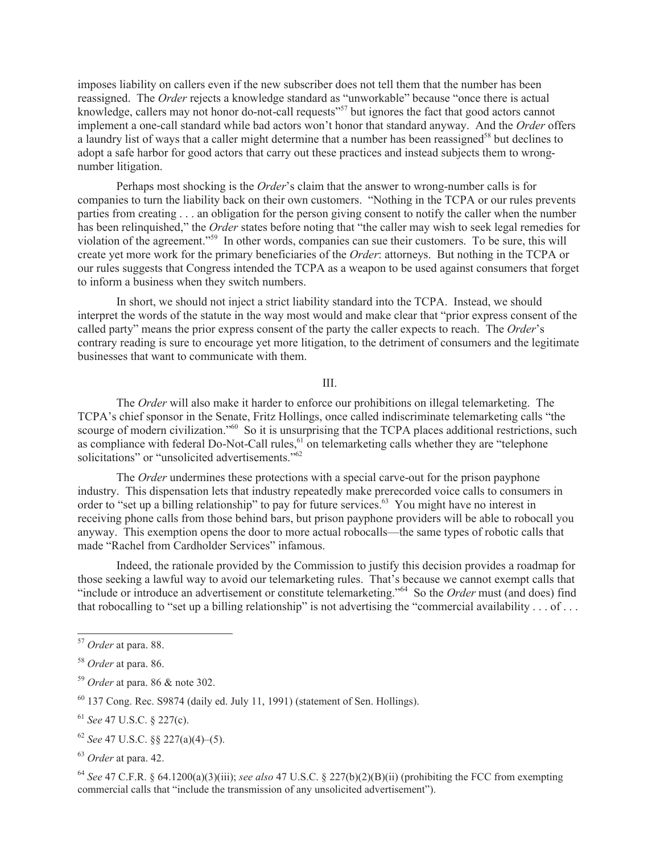imposes liability on callers even if the new subscriber does not tell them that the number has been reassigned. The *Order* rejects a knowledge standard as "unworkable" because "once there is actual knowledge, callers may not honor do-not-call requests<sup>"57</sup> but ignores the fact that good actors cannot implement a one-call standard while bad actors won't honor that standard anyway. And the *Order* offers a laundry list of ways that a caller might determine that a number has been reassigned<sup>58</sup> but declines to adopt a safe harbor for good actors that carry out these practices and instead subjects them to wrongnumber litigation.

Perhaps most shocking is the *Order*'s claim that the answer to wrong-number calls is for companies to turn the liability back on their own customers. "Nothing in the TCPA or our rules prevents parties from creating . . . an obligation for the person giving consent to notify the caller when the number has been relinquished," the *Order* states before noting that "the caller may wish to seek legal remedies for violation of the agreement."<sup>59</sup> In other words, companies can sue their customers. To be sure, this will create yet more work for the primary beneficiaries of the *Order*: attorneys. But nothing in the TCPA or our rules suggests that Congress intended the TCPA as a weapon to be used against consumers that forget to inform a business when they switch numbers.

In short, we should not inject a strict liability standard into the TCPA. Instead, we should interpret the words of the statute in the way most would and make clear that "prior express consent of the called party" means the prior express consent of the party the caller expects to reach. The *Order*'s contrary reading is sure to encourage yet more litigation, to the detriment of consumers and the legitimate businesses that want to communicate with them.

## III.

The *Order* will also make it harder to enforce our prohibitions on illegal telemarketing. The TCPA's chief sponsor in the Senate, Fritz Hollings, once called indiscriminate telemarketing calls "the scourge of modern civilization."<sup>60</sup> So it is unsurprising that the TCPA places additional restrictions, such as compliance with federal Do-Not-Call rules, $61$  on telemarketing calls whether they are "telephone" solicitations" or "unsolicited advertisements."<sup>62</sup>

The *Order* undermines these protections with a special carve-out for the prison payphone industry. This dispensation lets that industry repeatedly make prerecorded voice calls to consumers in order to "set up a billing relationship" to pay for future services.<sup>63</sup> You might have no interest in receiving phone calls from those behind bars, but prison payphone providers will be able to robocall you anyway. This exemption opens the door to more actual robocalls—the same types of robotic calls that made "Rachel from Cardholder Services" infamous.

Indeed, the rationale provided by the Commission to justify this decision provides a roadmap for those seeking a lawful way to avoid our telemarketing rules. That's because we cannot exempt calls that "include or introduce an advertisement or constitute telemarketing."<sup>64</sup> So the *Order* must (and does) find that robocalling to "set up a billing relationship" is not advertising the "commercial availability . . . of . . .

<sup>57</sup> *Order* at para. 88.

<sup>58</sup> *Order* at para. 86.

<sup>59</sup> *Order* at para. 86 & note 302.

 $60$  137 Cong. Rec. S9874 (daily ed. July 11, 1991) (statement of Sen. Hollings).

<sup>61</sup> *See* 47 U.S.C. § 227(c).

<sup>62</sup> *See* 47 U.S.C. §§ 227(a)(4)–(5).

<sup>63</sup> *Order* at para. 42.

<sup>64</sup> *See* 47 C.F.R. § 64.1200(a)(3)(iii); *see also* 47 U.S.C. § 227(b)(2)(B)(ii) (prohibiting the FCC from exempting commercial calls that "include the transmission of any unsolicited advertisement").